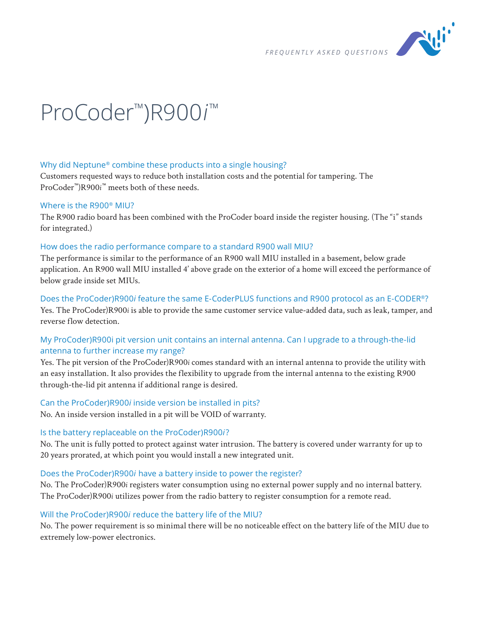

# ProCoder<sup>™</sup>)R900i<sup>™</sup>

## Why did Neptune® combine these products into a single housing?

Customers requested ways to reduce both installation costs and the potential for tampering. The ProCoder™)R900*i* ™ meets both of these needs.

#### Where is the R900® MIU?

The R900 radio board has been combined with the ProCoder board inside the register housing. (The "i" stands for integrated.)

#### How does the radio performance compare to a standard R900 wall MIU?

The performance is similar to the performance of an R900 wall MIU installed in a basement, below grade application. An R900 wall MIU installed 4' above grade on the exterior of a home will exceed the performance of below grade inside set MIUs.

Does the ProCoder)R900*i* feature the same E-CoderPLUS functions and R900 protocol as an E-CODER®? Yes. The ProCoder)R900*i* is able to provide the same customer service value-added data, such as leak, tamper, and reverse flow detection.

## My ProCoder)R900i pit version unit contains an internal antenna. Can I upgrade to a through-the-lid antenna to further increase my range?

Yes. The pit version of the ProCoder)R900*i* comes standard with an internal antenna to provide the utility with an easy installation. It also provides the flexibility to upgrade from the internal antenna to the existing R900 through-the-lid pit antenna if additional range is desired.

#### Can the ProCoder)R900*i* inside version be installed in pits?

No. An inside version installed in a pit will be VOID of warranty.

#### Is the battery replaceable on the ProCoder)R900*i* ?

No. The unit is fully potted to protect against water intrusion. The battery is covered under warranty for up to 20 years prorated, at which point you would install a new integrated unit.

#### Does the ProCoder)R900*i* have a battery inside to power the register?

No. The ProCoder)R900*i* registers water consumption using no external power supply and no internal battery. The ProCoder)R900*i* utilizes power from the radio battery to register consumption for a remote read.

#### Will the ProCoder)R900*i* reduce the battery life of the MIU?

No. The power requirement is so minimal there will be no noticeable effect on the battery life of the MIU due to extremely low-power electronics.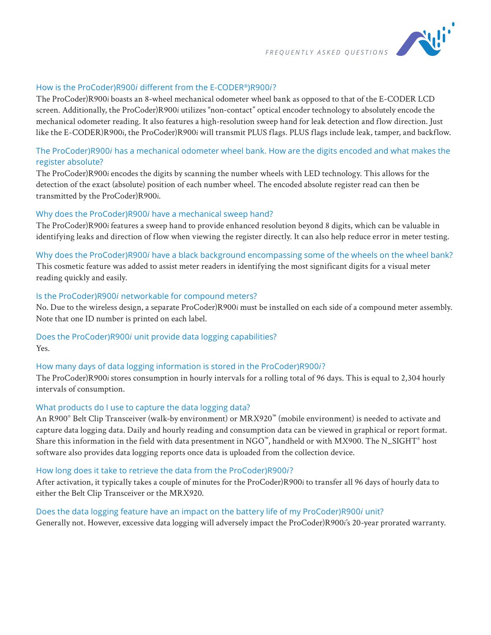

#### How is the ProCoder)R900*i* different from the E-CODER®)R900*i* ?

The ProCoder)R900*i* boasts an 8-wheel mechanical odometer wheel bank as opposed to that of the E-CODER LCD screen. Additionally, the ProCoder)R900*i* utilizes "non-contact" optical encoder technology to absolutely encode the mechanical odometer reading. It also features a high-resolution sweep hand for leak detection and flow direction. Just like the E-CODER)R900*i*, the ProCoder)R900*i* will transmit PLUS flags. PLUS flags include leak, tamper, and backflow.

# The ProCoder)R900*i* has a mechanical odometer wheel bank. How are the digits encoded and what makes the register absolute?

The ProCoder)R900*i* encodes the digits by scanning the number wheels with LED technology. This allows for the detection of the exact (absolute) position of each number wheel. The encoded absolute register read can then be transmitted by the ProCoder)R900*i*.

#### Why does the ProCoder)R900*i* have a mechanical sweep hand?

The ProCoder)R900*i* features a sweep hand to provide enhanced resolution beyond 8 digits, which can be valuable in identifying leaks and direction of flow when viewing the register directly. It can also help reduce error in meter testing.

#### Why does the ProCoder)R900*i* have a black background encompassing some of the wheels on the wheel bank?

This cosmetic feature was added to assist meter readers in identifying the most significant digits for a visual meter reading quickly and easily.

#### Is the ProCoder)R900*i* networkable for compound meters?

No. Due to the wireless design, a separate ProCoder)R900*i* must be installed on each side of a compound meter assembly. Note that one ID number is printed on each label.

# Does the ProCoder)R900*i* unit provide data logging capabilities?

Yes.

## How many days of data logging information is stored in the ProCoder)R900*i* ?

The ProCoder)R900*i* stores consumption in hourly intervals for a rolling total of 96 days. This is equal to 2,304 hourly intervals of consumption.

#### What products do I use to capture the data logging data?

An R900® Belt Clip Transceiver (walk-by environment) or MRX920™ (mobile environment) is needed to activate and capture data logging data. Daily and hourly reading and consumption data can be viewed in graphical or report format. Share this information in the field with data presentment in NGO™, handheld or with MX900. The N\_SIGHT® host software also provides data logging reports once data is uploaded from the collection device.

#### How long does it take to retrieve the data from the ProCoder)R900*i* ?

After activation, it typically takes a couple of minutes for the ProCoder)R900*i* to transfer all 96 days of hourly data to either the Belt Clip Transceiver or the MRX920.

#### Does the data logging feature have an impact on the battery life of my ProCoder)R900*i* unit?

Generally not. However, excessive data logging will adversely impact the ProCoder)R900*i*'s 20-year prorated warranty.